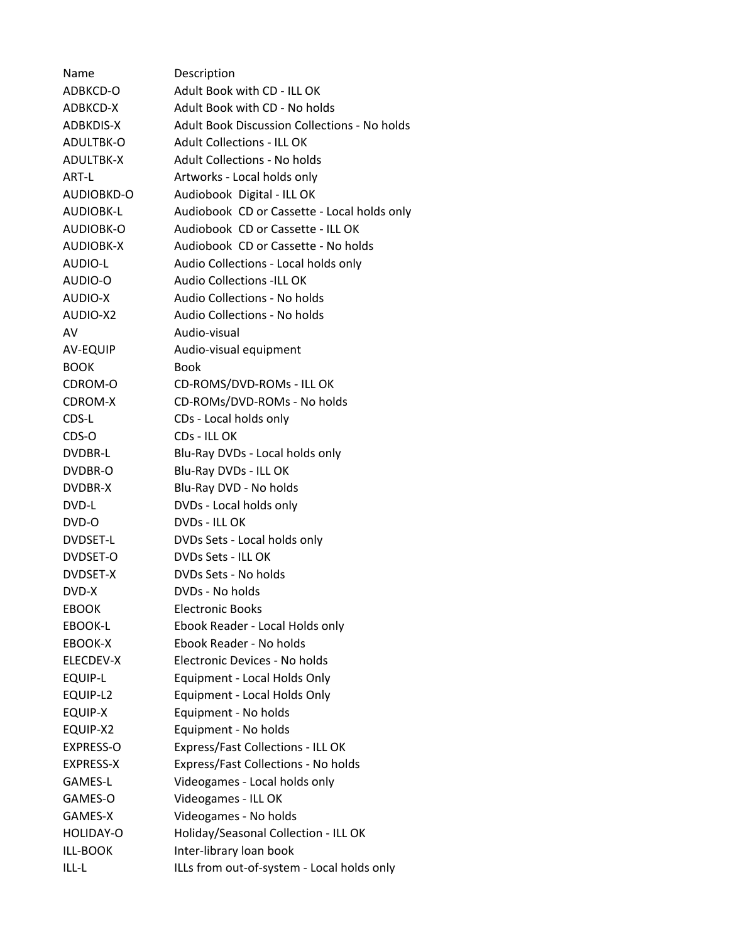| Name             | Description                                         |
|------------------|-----------------------------------------------------|
| ADBKCD-O         | Adult Book with CD - ILL OK                         |
| ADBKCD-X         | Adult Book with CD - No holds                       |
| ADBKDIS-X        | <b>Adult Book Discussion Collections - No holds</b> |
| ADULTBK-O        | <b>Adult Collections - ILL OK</b>                   |
| ADULTBK-X        | <b>Adult Collections - No holds</b>                 |
| ART-L            | Artworks - Local holds only                         |
| AUDIOBKD-O       | Audiobook Digital - ILL OK                          |
| <b>AUDIOBK-L</b> | Audiobook CD or Cassette - Local holds only         |
| AUDIOBK-O        | Audiobook CD or Cassette - ILL OK                   |
| AUDIOBK-X        | Audiobook CD or Cassette - No holds                 |
| AUDIO-L          | Audio Collections - Local holds only                |
| AUDIO-O          | <b>Audio Collections -ILL OK</b>                    |
| AUDIO-X          | Audio Collections - No holds                        |
| AUDIO-X2         | Audio Collections - No holds                        |
| AV               | Audio-visual                                        |
| AV-EQUIP         | Audio-visual equipment                              |
| <b>BOOK</b>      | <b>Book</b>                                         |
| CDROM-O          | CD-ROMS/DVD-ROMs - ILL OK                           |
| CDROM-X          | CD-ROMs/DVD-ROMs - No holds                         |
| CDS-L            | CDs - Local holds only                              |
| CDS-O            | CDs - ILL OK                                        |
| DVDBR-L          | Blu-Ray DVDs - Local holds only                     |
| DVDBR-O          | Blu-Ray DVDs - ILL OK                               |
| DVDBR-X          | Blu-Ray DVD - No holds                              |
| DVD-L            | DVDs - Local holds only                             |
| DVD-O            | DVDs - ILL OK                                       |
| DVDSET-L         | DVDs Sets - Local holds only                        |
| DVDSET-O         | DVDs Sets - ILL OK                                  |
| DVDSET-X         | DVDs Sets - No holds                                |
| DVD-X            | DVDs - No holds                                     |
| <b>EBOOK</b>     | <b>Electronic Books</b>                             |
| EBOOK-L          | Ebook Reader - Local Holds only                     |
| EBOOK-X          | Ebook Reader - No holds                             |
| ELECDEV-X        | Electronic Devices - No holds                       |
| <b>EQUIP-L</b>   | Equipment - Local Holds Only                        |
| EQUIP-L2         | Equipment - Local Holds Only                        |
| EQUIP-X          | Equipment - No holds                                |
| EQUIP-X2         | Equipment - No holds                                |
| EXPRESS-O        | Express/Fast Collections - ILL OK                   |
| <b>EXPRESS-X</b> | Express/Fast Collections - No holds                 |
| GAMES-L          | Videogames - Local holds only                       |
| GAMES-O          | Videogames - ILL OK                                 |
| GAMES-X          | Videogames - No holds                               |
| HOLIDAY-O        | Holiday/Seasonal Collection - ILL OK                |
| ILL-BOOK         | Inter-library loan book                             |
| ILL-L            | ILLs from out-of-system - Local holds only          |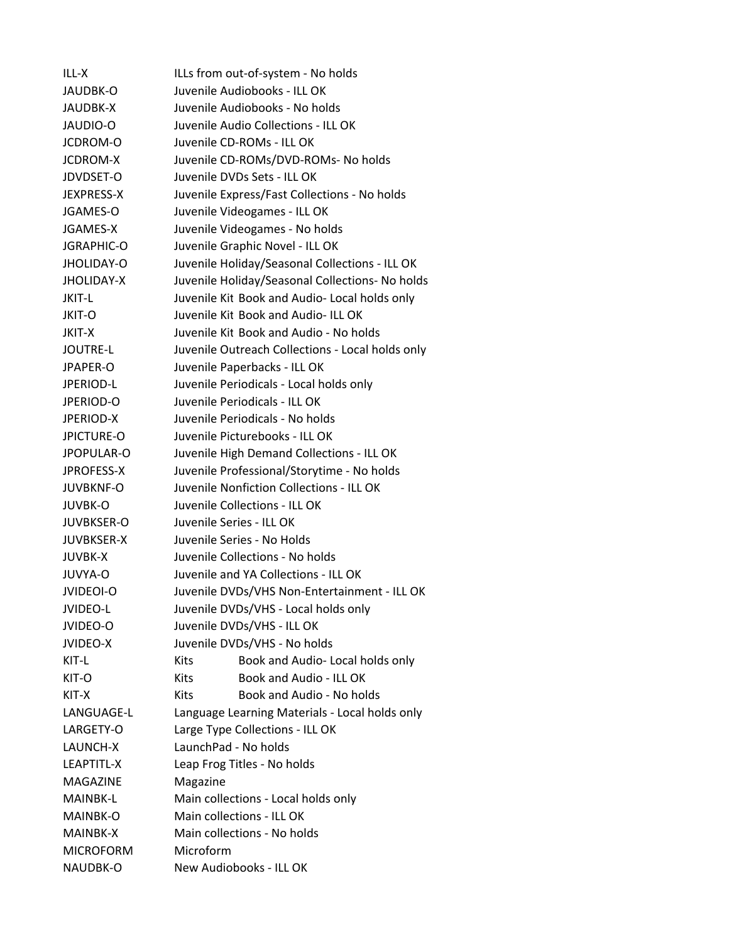ILL-X ILLs from out-of-system - No holds JAUDBK‐O Juvenile Audiobooks ‐ ILL OK JAUDBK‐X Juvenile Audiobooks ‐ No holds JAUDIO‐O Juvenile Audio Collections ‐ ILL OK JCDROM‐O Juvenile CD‐ROMs ‐ ILL OK JCDROM‐X Juvenile CD‐ROMs/DVD‐ROMs‐ No holds JDVDSET‐O Juvenile DVDs Sets ‐ ILL OK JEXPRESS‐X Juvenile Express/Fast Collections ‐ No holds JGAMES‐O Juvenile Videogames ‐ ILL OK JGAMES‐X Juvenile Videogames ‐ No holds JGRAPHIC‐O Juvenile Graphic Novel ‐ ILL OK JHOLIDAY‐O Juvenile Holiday/Seasonal Collections ‐ ILL OK JHOLIDAY‐X Juvenile Holiday/Seasonal Collections‐ No holds JKIT‐L Juvenile Kit Book and Audio‐ Local holds only JKIT‐O Juvenile Kit Book and Audio‐ ILL OK JKIT‐X Juvenile Kit Book and Audio ‐ No holds JOUTRE‐L Juvenile Outreach Collections ‐ Local holds only JPAPER‐O Juvenile Paperbacks ‐ ILL OK JPERIOD‐L Juvenile Periodicals ‐ Local holds only JPERIOD‐O Juvenile Periodicals ‐ ILL OK JPERIOD‐X Juvenile Periodicals ‐ No holds JPICTURE‐O Juvenile Picturebooks ‐ ILL OK JPOPULAR‐O Juvenile High Demand Collections ‐ ILL OK JPROFESS‐X Juvenile Professional/Storytime ‐ No holds JUVBKNF‐O Juvenile Nonfiction Collections ‐ ILL OK JUVBK‐O Juvenile Collections ‐ ILL OK JUVBKSER‐O Juvenile Series ‐ ILL OK JUVBKSER‐X Juvenile Series ‐ No Holds JUVBK‐X Juvenile Collections ‐ No holds JUVYA‐O Juvenile and YA Collections ‐ ILL OK JVIDEOI‐O Juvenile DVDs/VHS Non‐Entertainment ‐ ILL OK JVIDEO‐L Juvenile DVDs/VHS ‐ Local holds only JVIDEO‐O Juvenile DVDs/VHS ‐ ILL OK JVIDEO‐X Juvenile DVDs/VHS ‐ No holds KIT-L Kits Book and Audio- Local holds only KIT-O Kits Book and Audio - ILL OK KIT-X Kits Book and Audio - No holds LANGUAGE‐L Language Learning Materials ‐ Local holds only LARGETY‐O Large Type Collections ‐ ILL OK LAUNCH‐X LaunchPad ‐ No holds LEAPTITL‐X Leap Frog Titles ‐ No holds MAGAZINE Magazine MAINBK‐L Main collections ‐ Local holds only MAINBK‐O Main collections ‐ ILL OK MAINBK‐X Main collections ‐ No holds MICROFORM Microform NAUDBK‐O New Audiobooks ‐ ILL OK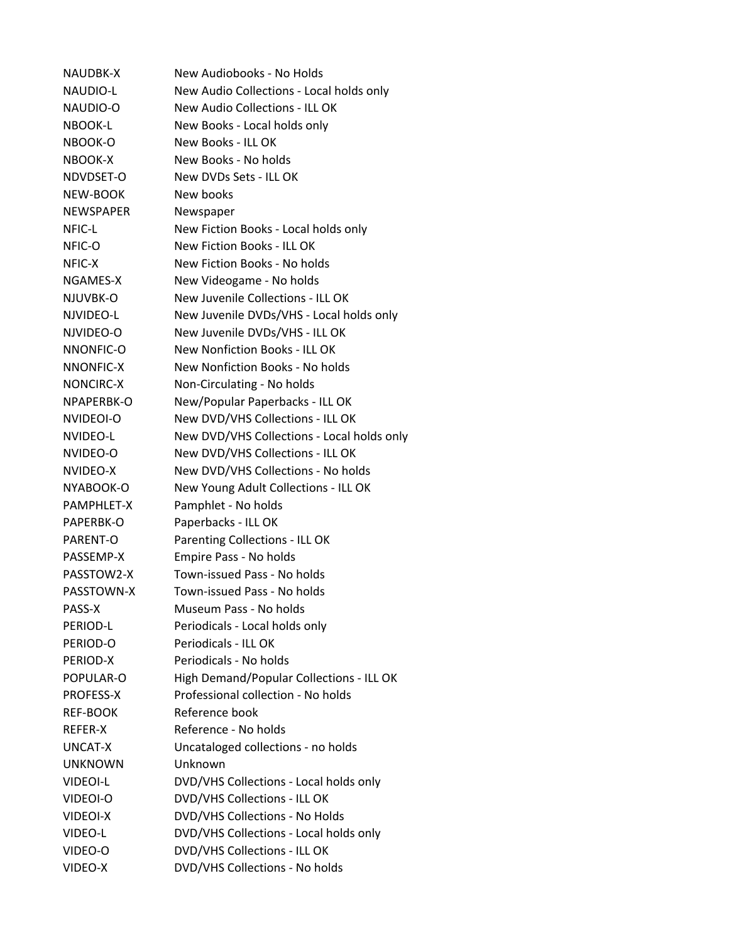NAUDBK-X New Audiobooks - No Holds NAUDIO‐L New Audio Collections ‐ Local holds only NAUDIO‐O New Audio Collections ‐ ILL OK NBOOK‐L New Books ‐ Local holds only NBOOK‐O New Books ‐ ILL OK NBOOK‐X New Books ‐ No holds NDVDSET‐O New DVDs Sets ‐ ILL OK NEW‐BOOK New books NEWSPAPER Newspaper NFIC‐L New Fiction Books ‐ Local holds only NFIC‐O New Fiction Books ‐ ILL OK NFIC‐X New Fiction Books ‐ No holds NGAMES‐X New Videogame ‐ No holds NJUVBK‐O New Juvenile Collections ‐ ILL OK NJVIDEO‐L New Juvenile DVDs/VHS ‐ Local holds only NJVIDEO‐O New Juvenile DVDs/VHS ‐ ILL OK NNONFIC‐O New Nonfiction Books ‐ ILL OK NNONFIC‐X New Nonfiction Books ‐ No holds NONCIRC‐X Non‐Circulating ‐ No holds NPAPERBK‐O New/Popular Paperbacks ‐ ILL OK NVIDEOI‐O New DVD/VHS Collections ‐ ILL OK NVIDEO‐L New DVD/VHS Collections ‐ Local holds only NVIDEO‐O New DVD/VHS Collections ‐ ILL OK NVIDEO‐X New DVD/VHS Collections ‐ No holds NYABOOK‐O New Young Adult Collections ‐ ILL OK PAMPHLET‐X Pamphlet ‐ No holds PAPERBK‐O Paperbacks ‐ ILL OK PARENT‐O Parenting Collections ‐ ILL OK PASSEMP‐X Empire Pass ‐ No holds PASSTOW2‐X Town‐issued Pass ‐ No holds PASSTOWN‐X Town‐issued Pass ‐ No holds PASS‐X Museum Pass ‐ No holds PERIOD‐L Periodicals ‐ Local holds only PERIOD‐O Periodicals ‐ ILL OK PERIOD‐X Periodicals ‐ No holds POPULAR‐O High Demand/Popular Collections ‐ ILL OK PROFESS‐X Professional collection ‐ No holds REF‐BOOK Reference book REFER-X Reference - No holds UNCAT‐X Uncataloged collections ‐ no holds UNKNOWN Unknown VIDEOI‐L DVD/VHS Collections ‐ Local holds only VIDEOI‐O DVD/VHS Collections ‐ ILL OK VIDEOI‐X DVD/VHS Collections ‐ No Holds VIDEO‐L DVD/VHS Collections ‐ Local holds only VIDEO‐O DVD/VHS Collections ‐ ILL OK VIDEO‐X DVD/VHS Collections ‐ No holds